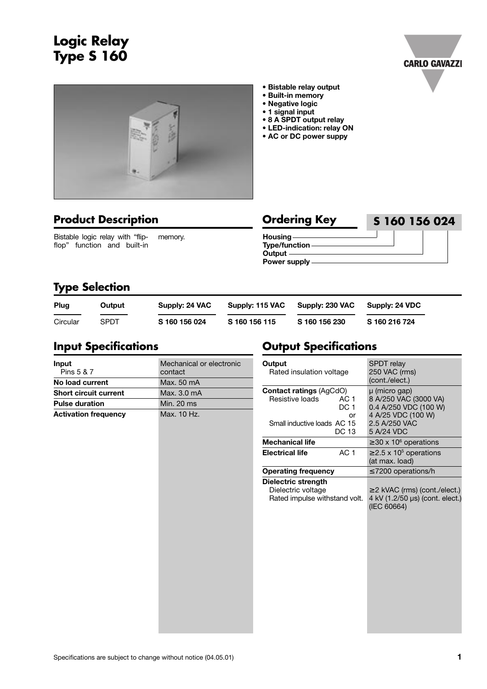# **Logic Relay Type S 160**





- **Bistable relay output**
- **Built-in memory**
- **Negative logic**
- **1 signal input**
- **8 A SPDT output relay**
- **LED-indication: relay ON**
- **AC or DC power suppy**



Bistable logic relay with "flipflop" function and built-in memory.

| <b>Ordering Key</b> | S 160 156 024 |
|---------------------|---------------|
| $H$ ousing —        |               |
| Type/function-      |               |
| Output $-$          |               |
| <b>Power supply</b> |               |

## **Type Selection**

| Plug     | Output | Supply: 24 VAC | Supply: 115 VAC | Supply: 230 VAC | Supply: 24 VDC |
|----------|--------|----------------|-----------------|-----------------|----------------|
| Circular | SPDT   | S 160 156 024  | S 160 156 115   | S 160 156 230   | S 160 216 724  |

#### **Input Specifications**

| Input<br>Pins 5 & 7          | Mechanical or electronic<br>contact |  |  |  |  |
|------------------------------|-------------------------------------|--|--|--|--|
| No load current              | Max. 50 mA                          |  |  |  |  |
| <b>Short circuit current</b> | Max. 3.0 mA                         |  |  |  |  |
| <b>Pulse duration</b>        | Min. 20 ms                          |  |  |  |  |
| <b>Activation frequency</b>  | Max. 10 Hz.                         |  |  |  |  |
|                              |                                     |  |  |  |  |
|                              |                                     |  |  |  |  |
|                              |                                     |  |  |  |  |
|                              |                                     |  |  |  |  |
|                              |                                     |  |  |  |  |
|                              |                                     |  |  |  |  |
|                              |                                     |  |  |  |  |
|                              |                                     |  |  |  |  |
|                              |                                     |  |  |  |  |

### **Output Specifications**

| Output<br>Rated insulation voltage                                               |                               | <b>SPDT</b> relay<br>250 VAC (rms)<br>(cont./elect.)                                                   |  |  |  |
|----------------------------------------------------------------------------------|-------------------------------|--------------------------------------------------------------------------------------------------------|--|--|--|
| <b>Contact ratings (AgCdO)</b><br>Resistive loads<br>Small inductive loads AC 15 | AC 1<br>DC <sub>1</sub><br>or | µ (micro gap)<br>8 A/250 VAC (3000 VA)<br>0.4 A/250 VDC (100 W)<br>4 A/25 VDC (100 W)<br>2.5 A/250 VAC |  |  |  |
| <b>Mechanical life</b>                                                           | <b>DC 13</b>                  | 5 A/24 VDC                                                                                             |  |  |  |
| <b>Electrical life</b>                                                           | AC <sub>1</sub>               | $\geq$ 30 x 10 <sup>6</sup> operations<br>$\geq$ 2.5 x 10 <sup>5</sup> operations<br>(at max. load)    |  |  |  |
| <b>Operating frequency</b>                                                       |                               | $\leq$ 7200 operations/h                                                                               |  |  |  |
| Dielectric strength<br>Dielectric voltage<br>Rated impulse withstand volt.       |                               | $\geq$ 2 kVAC (rms) (cont./elect.)<br>4 kV (1.2/50 µs) (cont. elect.)<br>(IEC 60664)                   |  |  |  |